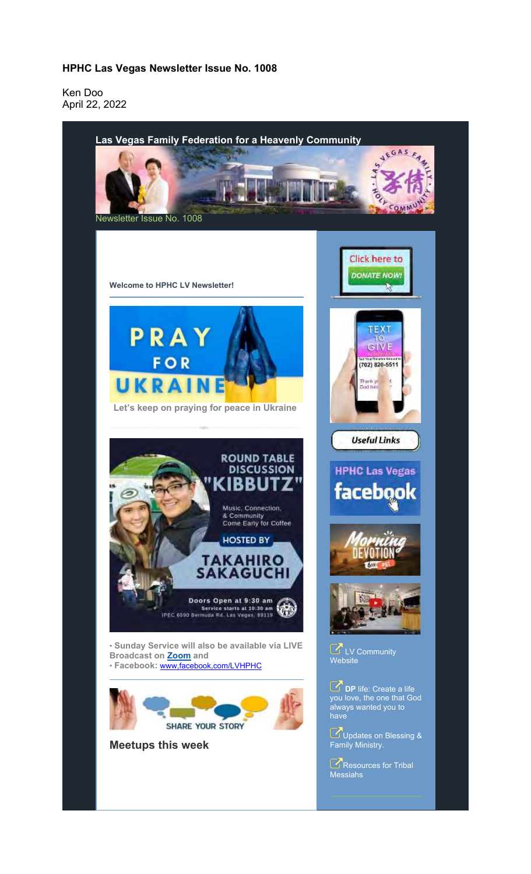## **HPHC Las Vegas Newsletter Issue No. 1008**

Ken Doo April 22, 2022

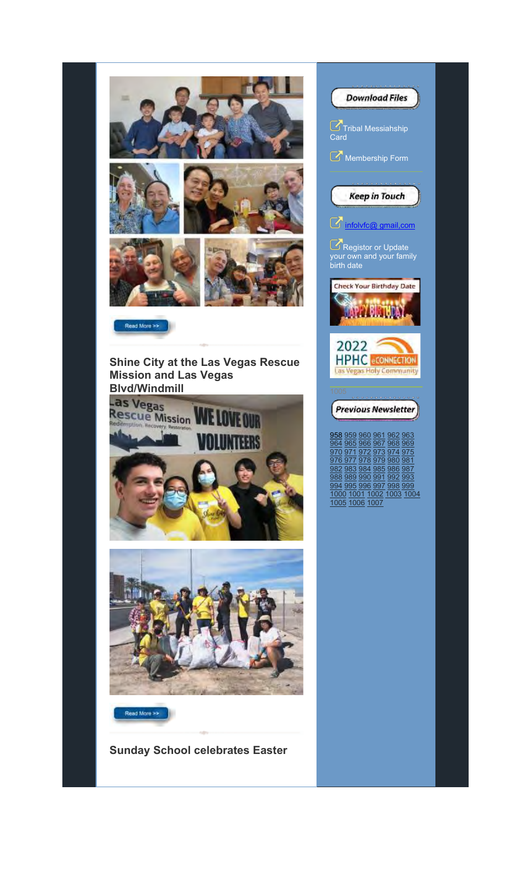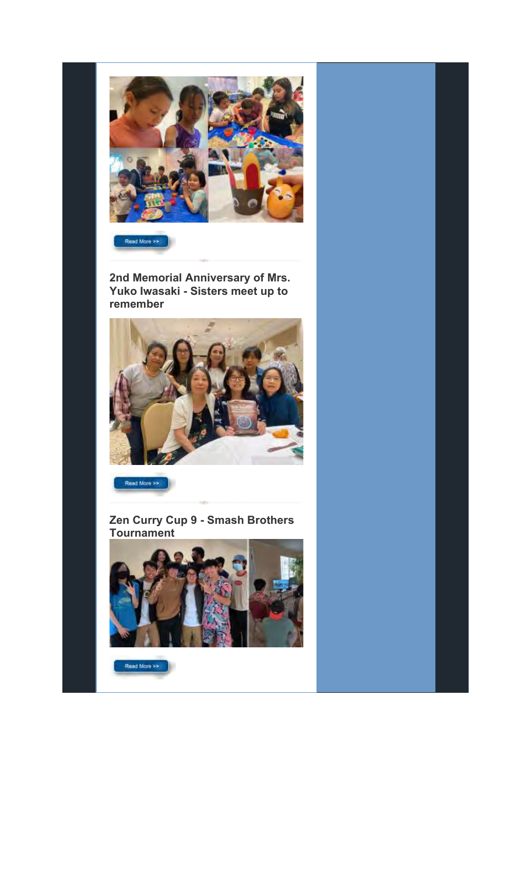

Read More >>

**2nd Memorial Anniversary of Mrs. Yuko Iwasaki - Sisters meet up to remember**



Read More >>

**Zen Curry Cup 9 - Smash Brothers Tournament**



Read More >>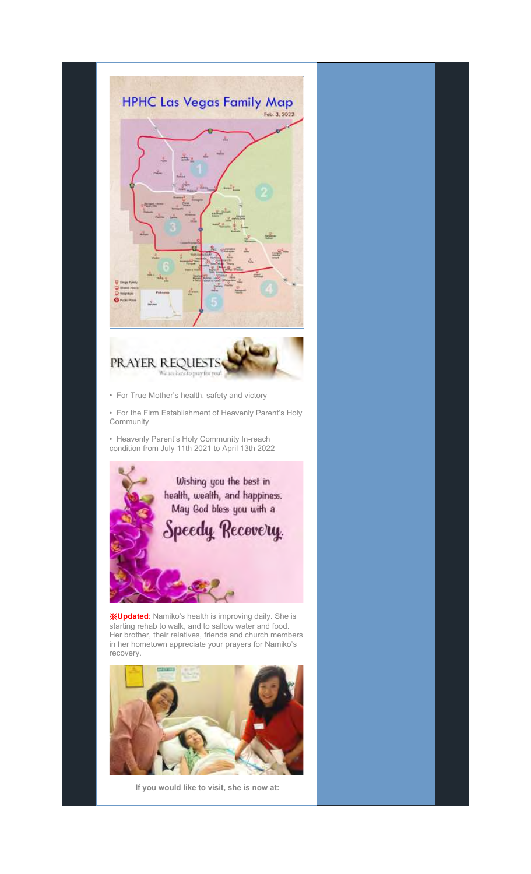

Her brother, their relatives, friends and church members in her hometown appreciate your prayers for Namiko's recovery.



**If you would like to visit, she is now at:**